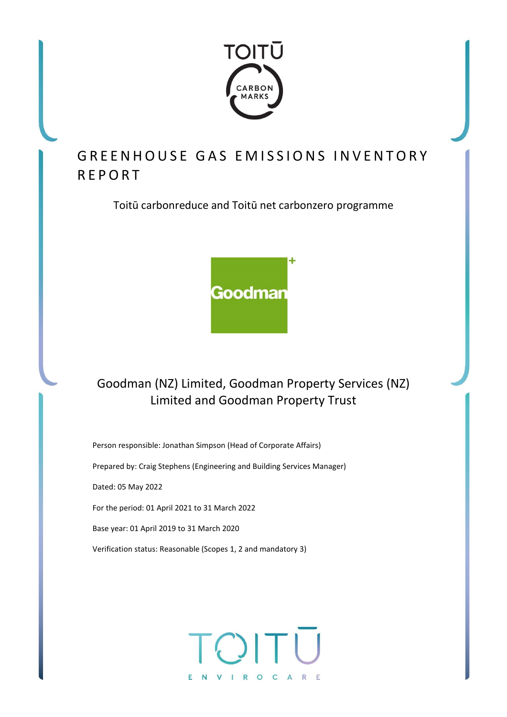

# GREENHOUSE GAS EMISSIONS INVENTORY REPORT

Toitū carbonreduce and Toitū net carbonzero programme



## Goodman (NZ) Limited, Goodman Property Services (NZ) Limited and Goodman Property Trust

Person responsible: Jonathan Simpson (Head of Corporate Affairs) Prepared by: Craig Stephens (Engineering and Building Services Manager) Dated: 05 May 2022 For the period: 01 April 2021 to 31 March 2022 Base year: 01 April 2019 to 31 March 2020 Verification status: Reasonable (Scopes 1, 2 and mandatory 3)

# NVIROCARE F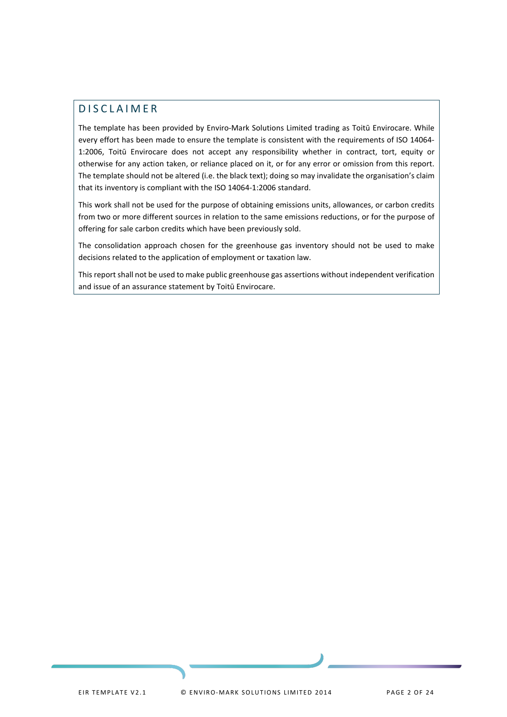## <span id="page-1-0"></span>DISCLAIMER

The template has been provided by Enviro-Mark Solutions Limited trading as Toitū Envirocare. While every effort has been made to ensure the template is consistent with the requirements of ISO 14064- 1:2006, Toitū Envirocare does not accept any responsibility whether in contract, tort, equity or otherwise for any action taken, or reliance placed on it, or for any error or omission from this report. The template should not be altered (i.e. the black text); doing so may invalidate the organisation's claim that its inventory is compliant with the ISO 14064-1:2006 standard.

This work shall not be used for the purpose of obtaining emissions units, allowances, or carbon credits from two or more different sources in relation to the same emissions reductions, or for the purpose of offering for sale carbon credits which have been previously sold.

The consolidation approach chosen for the greenhouse gas inventory should not be used to make decisions related to the application of employment or taxation law.

This report shall not be used to make public greenhouse gas assertions without independent verification and issue of an assurance statement by Toitū Envirocare.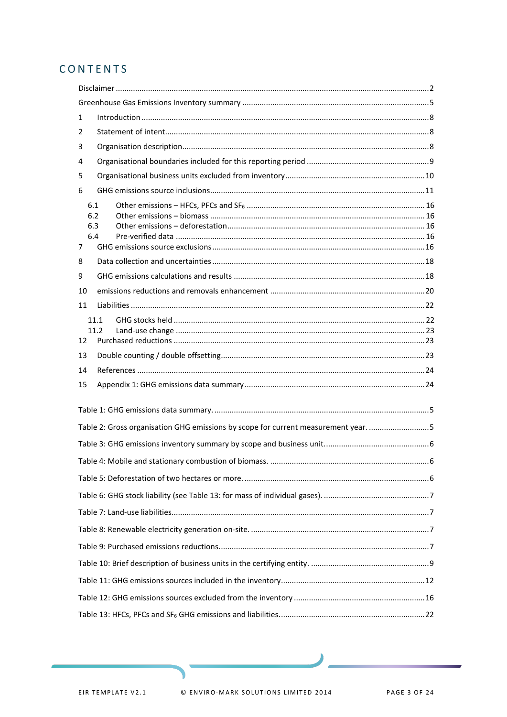## CONTENTS

| 1  |                                                                                    |  |
|----|------------------------------------------------------------------------------------|--|
| 2  |                                                                                    |  |
| 3  |                                                                                    |  |
| 4  |                                                                                    |  |
| 5  |                                                                                    |  |
| 6  |                                                                                    |  |
| 7  | 6.1<br>6.2<br>6.3<br>6.4                                                           |  |
| 8  |                                                                                    |  |
| 9  |                                                                                    |  |
| 10 |                                                                                    |  |
| 11 |                                                                                    |  |
| 12 | 11.1<br>11.2                                                                       |  |
| 13 |                                                                                    |  |
| 14 |                                                                                    |  |
| 15 |                                                                                    |  |
|    |                                                                                    |  |
|    | Table 2: Gross organisation GHG emissions by scope for current measurement year. 5 |  |
|    |                                                                                    |  |
|    |                                                                                    |  |
|    |                                                                                    |  |
|    |                                                                                    |  |
|    |                                                                                    |  |
|    |                                                                                    |  |
|    |                                                                                    |  |
|    |                                                                                    |  |
|    |                                                                                    |  |
|    |                                                                                    |  |
|    |                                                                                    |  |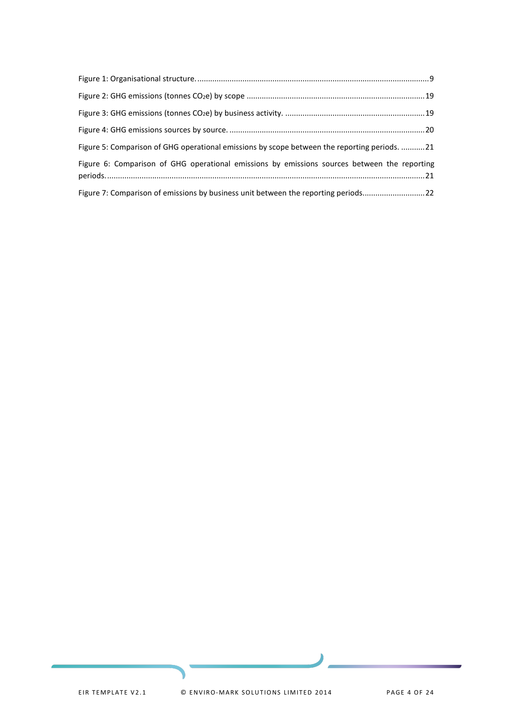| Figure 5: Comparison of GHG operational emissions by scope between the reporting periods. 21 |  |
|----------------------------------------------------------------------------------------------|--|
| Figure 6: Comparison of GHG operational emissions by emissions sources between the reporting |  |
| Figure 7: Comparison of emissions by business unit between the reporting periods22           |  |

۱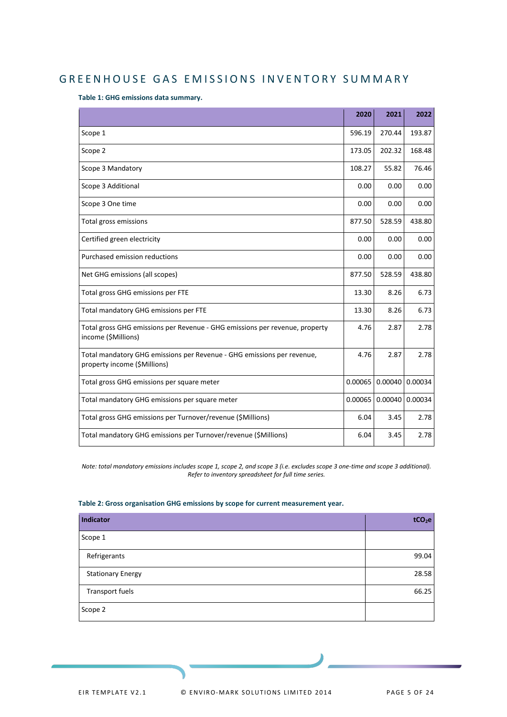## <span id="page-4-0"></span>GREENHOUSE GAS EMISSIONS INVENTORY SUMMARY

<span id="page-4-1"></span>**Table 1: GHG emissions data summary.**

|                                                                                                        | 2020    | 2021    | 2022    |
|--------------------------------------------------------------------------------------------------------|---------|---------|---------|
| Scope 1                                                                                                | 596.19  | 270.44  | 193.87  |
| Scope 2                                                                                                | 173.05  | 202.32  | 168.48  |
| Scope 3 Mandatory                                                                                      | 108.27  | 55.82   | 76.46   |
| Scope 3 Additional                                                                                     | 0.00    | 0.00    | 0.00    |
| Scope 3 One time                                                                                       | 0.00    | 0.00    | 0.00    |
| Total gross emissions                                                                                  | 877.50  | 528.59  | 438.80  |
| Certified green electricity                                                                            | 0.00    | 0.00    | 0.00    |
| Purchased emission reductions                                                                          | 0.00    | 0.00    | 0.00    |
| Net GHG emissions (all scopes)                                                                         | 877.50  | 528.59  | 438.80  |
| Total gross GHG emissions per FTE                                                                      | 13.30   | 8.26    | 6.73    |
| Total mandatory GHG emissions per FTE                                                                  | 13.30   | 8.26    | 6.73    |
| Total gross GHG emissions per Revenue - GHG emissions per revenue, property<br>income (\$Millions)     | 4.76    | 2.87    | 2.78    |
| Total mandatory GHG emissions per Revenue - GHG emissions per revenue,<br>property income (\$Millions) | 4.76    | 2.87    | 2.78    |
| Total gross GHG emissions per square meter                                                             | 0.00065 | 0.00040 | 0.00034 |
| Total mandatory GHG emissions per square meter                                                         | 0.00065 | 0.00040 | 0.00034 |
| Total gross GHG emissions per Turnover/revenue (\$Millions)                                            | 6.04    | 3.45    | 2.78    |
| Total mandatory GHG emissions per Turnover/revenue (\$Millions)                                        | 6.04    | 3.45    | 2.78    |

*Note: total mandatory emissions includes scope 1, scope 2, and scope 3 (i.e. excludes scope 3 one-time and scope 3 additional). Refer to inventory spreadsheet for full time series.*

#### <span id="page-4-2"></span>**Table 2: Gross organisation GHG emissions by scope for current measurement year.**

| Indicator                | tCO <sub>2</sub> e |
|--------------------------|--------------------|
| Scope 1                  |                    |
| Refrigerants             | 99.04              |
| <b>Stationary Energy</b> | 28.58              |
| Transport fuels          | 66.25              |
| Scope 2                  |                    |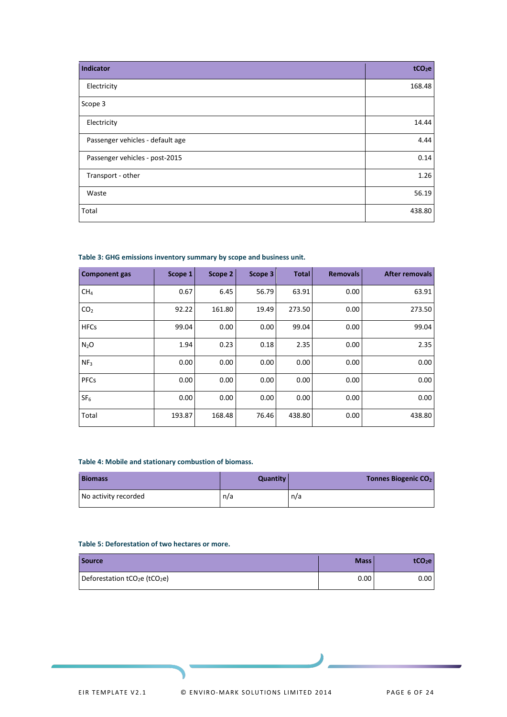| <b>Indicator</b>                 | tCO <sub>2</sub> e |
|----------------------------------|--------------------|
| Electricity                      | 168.48             |
| Scope 3                          |                    |
| Electricity                      | 14.44              |
| Passenger vehicles - default age | 4.44               |
| Passenger vehicles - post-2015   | 0.14               |
| Transport - other                | 1.26               |
| Waste                            | 56.19              |
| Total                            | 438.80             |

#### <span id="page-5-0"></span>**Table 3: GHG emissions inventory summary by scope and business unit.**

| <b>Component gas</b> | Scope 1 | Scope $2 $ | Scope 3 | <b>Total</b> | <b>Removals</b> | <b>After removals</b> |
|----------------------|---------|------------|---------|--------------|-----------------|-----------------------|
| CH <sub>4</sub>      | 0.67    | 6.45       | 56.79   | 63.91        | 0.00            | 63.91                 |
| CO <sub>2</sub>      | 92.22   | 161.80     | 19.49   | 273.50       | 0.00            | 273.50                |
| <b>HFCs</b>          | 99.04   | 0.00       | 0.00    | 99.04        | 0.00            | 99.04                 |
| N <sub>2</sub> O     | 1.94    | 0.23       | 0.18    | 2.35         | 0.00            | 2.35                  |
| NF <sub>3</sub>      | 0.00    | 0.00       | 0.00    | 0.00         | 0.00            | 0.00                  |
| <b>PFCs</b>          | 0.00    | 0.00       | 0.00    | 0.00         | 0.00            | 0.00                  |
| SF <sub>6</sub>      | 0.00    | 0.00       | 0.00    | 0.00         | 0.00            | 0.00                  |
| Total                | 193.87  | 168.48     | 76.46   | 438.80       | 0.00            | 438.80                |

#### <span id="page-5-1"></span>**Table 4: Mobile and stationary combustion of biomass.**

| <b>Biomass</b>       | Quantity | <b>Tonnes Biogenic CO<sub>2</sub></b> |
|----------------------|----------|---------------------------------------|
| No activity recorded | n/a      | n/a                                   |

#### <span id="page-5-2"></span>**Table 5: Deforestation of two hectares or more.**

| <b>Source</b>                                         | Mass <sup>1</sup> | tCO <sub>2</sub> e |
|-------------------------------------------------------|-------------------|--------------------|
| Deforestation tCO <sub>2</sub> e (tCO <sub>2</sub> e) | 0.00              | 0.00 <sub>1</sub>  |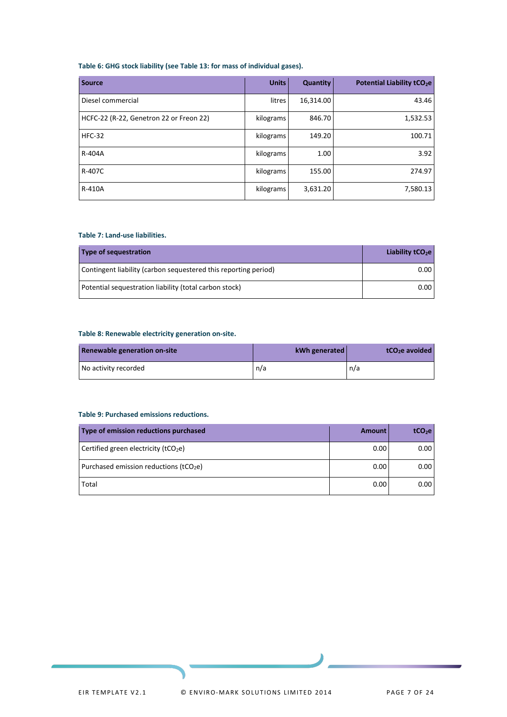#### <span id="page-6-0"></span>**Table 6: GHG stock liability (see Table 13: for mass of individual gases).**

| <b>Source</b>                           | <b>Units</b> | <b>Quantity</b> | Potential Liability tCO <sub>2</sub> e |
|-----------------------------------------|--------------|-----------------|----------------------------------------|
| Diesel commercial                       | litres       | 16,314.00       | 43.46                                  |
| HCFC-22 (R-22, Genetron 22 or Freon 22) | kilograms    | 846.70          | 1,532.53                               |
| <b>HFC-32</b>                           | kilograms    | 149.20          | 100.71                                 |
| R-404A                                  | kilograms    | 1.00            | 3.92                                   |
| R-407C                                  | kilograms    | 155.00          | 274.97                                 |
| R-410A                                  | kilograms    | 3,631.20        | 7,580.13                               |

#### <span id="page-6-1"></span>**Table 7: Land-use liabilities.**

| Type of sequestration                                           | Liability $tCO2e$ |
|-----------------------------------------------------------------|-------------------|
| Contingent liability (carbon sequestered this reporting period) | 0.00              |
| Potential sequestration liability (total carbon stock)          | 0.00              |

#### <span id="page-6-2"></span>**Table 8: Renewable electricity generation on-site.**

| Renewable generation on-site | kWh generated | tCO <sub>2</sub> e avoided |
|------------------------------|---------------|----------------------------|
| No activity recorded         | n/a           | n/a                        |

#### <span id="page-6-3"></span>**Table 9: Purchased emissions reductions.**

| Type of emission reductions purchased            | Amount | tCO <sub>2</sub> e |
|--------------------------------------------------|--------|--------------------|
| Certified green electricity (tCO <sub>2</sub> e) | 0.00   | 0.00               |
| Purchased emission reductions ( $tCO2e$ )        | 0.00   | 0.00               |
| Total                                            | 0.00   | 0.00               |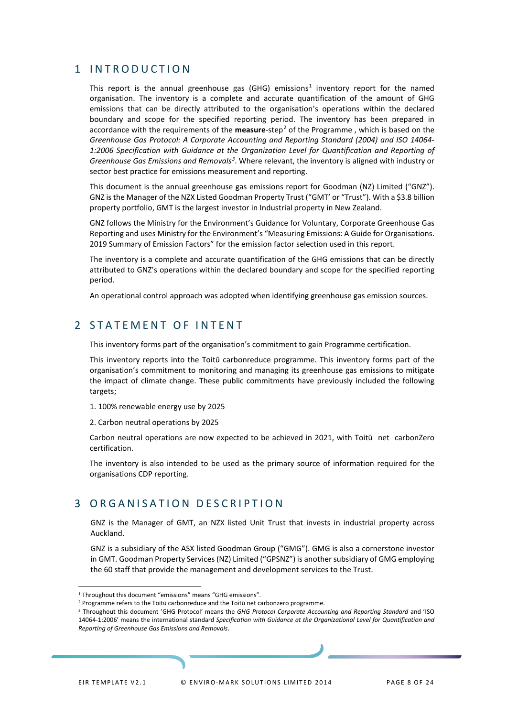## <span id="page-7-0"></span>1 INTRODUCTION

This report is the annual greenhouse gas (GHG) emissions<sup>[1](#page-7-3)</sup> inventory report for the named organisation. The inventory is a complete and accurate quantification of the amount of GHG emissions that can be directly attributed to the organisation's operations within the declared boundary and scope for the specified reporting period. The inventory has been prepared in accordance with the requirements of the **measure**-step[2](#page-7-4) of the Programme , which is based on the *Greenhouse Gas Protocol: A Corporate Accounting and Reporting Standard (2004) and ISO 14064- 1:2006 Specification with Guidance at the Organization Level for Quantification and Reporting of Greenhouse Gas Emissions and Removals[3](#page-7-5)* . Where relevant, the inventory is aligned with industry or sector best practice for emissions measurement and reporting.

This document is the annual greenhouse gas emissions report for Goodman (NZ) Limited ("GNZ"). GNZ is the Manager of the NZX Listed Goodman Property Trust ("GMT' or "Trust"). With a \$3.8 billion property portfolio, GMT is the largest investor in Industrial property in New Zealand.

GNZ follows the Ministry for the Environment's Guidance for Voluntary, Corporate Greenhouse Gas Reporting and uses Ministry for the Environment's "Measuring Emissions: A Guide for Organisations. 2019 Summary of Emission Factors" for the emission factor selection used in this report.

The inventory is a complete and accurate quantification of the GHG emissions that can be directly attributed to GNZ's operations within the declared boundary and scope for the specified reporting period.

An operational control approach was adopted when identifying greenhouse gas emission sources.

## <span id="page-7-1"></span>2 STATEMENT OF INTENT

This inventory forms part of the organisation's commitment to gain Programme certification.

This inventory reports into the Toitū carbonreduce programme. This inventory forms part of the organisation's commitment to monitoring and managing its greenhouse gas emissions to mitigate the impact of climate change. These public commitments have previously included the following targets;

- 1. 100% renewable energy use by 2025
- 2. Carbon neutral operations by 2025

Carbon neutral operations are now expected to be achieved in 2021, with Toitū net carbonZero certification.

The inventory is also intended to be used as the primary source of information required for the organisations CDP reporting.

## <span id="page-7-2"></span>3 ORGANISATION DESCRIPTION

GNZ is the Manager of GMT, an NZX listed Unit Trust that invests in industrial property across Auckland.

GNZ is a subsidiary of the ASX listed Goodman Group ("GMG"). GMG is also a cornerstone investor in GMT. Goodman Property Services (NZ) Limited ("GPSNZ") is another subsidiary of GMG employing the 60 staff that provide the management and development services to the Trust.

<span id="page-7-3"></span><sup>&</sup>lt;sup>1</sup> Throughout this document "emissions" means "GHG emissions".

<span id="page-7-4"></span><sup>&</sup>lt;sup>2</sup> Programme refers to the Toitū carbonreduce and the Toitū net carbonzero programme.

<span id="page-7-5"></span><sup>3</sup> Throughout this document 'GHG Protocol' means the *GHG Protocol Corporate Accounting and Reporting Standard* and 'ISO 14064-1:2006' means the international standard *Specification with Guidance at the Organizational Level for Quantification and Reporting of Greenhouse Gas Emissions and Removals*.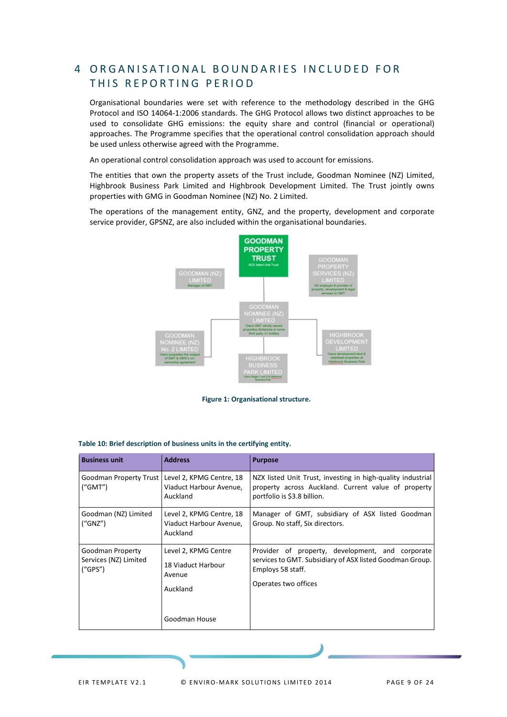## <span id="page-8-0"></span>4 ORGANISATIONAL BOUNDARIES INCLUDED FOR THIS REPORTING PERIOD

Organisational boundaries were set with reference to the methodology described in the GHG Protocol and ISO 14064-1:2006 standards. The GHG Protocol allows two distinct approaches to be used to consolidate GHG emissions: the equity share and control (financial or operational) approaches. The Programme specifies that the operational control consolidation approach should be used unless otherwise agreed with the Programme.

An operational control consolidation approach was used to account for emissions.

The entities that own the property assets of the Trust include, Goodman Nominee (NZ) Limited, Highbrook Business Park Limited and Highbrook Development Limited. The Trust jointly owns properties with GMG in Goodman Nominee (NZ) No. 2 Limited.

The operations of the management entity, GNZ, and the property, development and corporate service provider, GPSNZ, are also included within the organisational boundaries.





| <b>Business unit</b>                                  | <b>Address</b>                                                   | <b>Purpose</b>                                                                                                                                            |
|-------------------------------------------------------|------------------------------------------------------------------|-----------------------------------------------------------------------------------------------------------------------------------------------------------|
| Goodman Property Trust<br>("GMT")                     | Level 2, KPMG Centre, 18<br>Viaduct Harbour Avenue,<br>Auckland  | NZX listed Unit Trust, investing in high-quality industrial<br>property across Auckland. Current value of property<br>portfolio is \$3.8 billion.         |
| Goodman (NZ) Limited<br>("GNZ")                       | Level 2, KPMG Centre, 18<br>Viaduct Harbour Avenue,<br>Auckland  | Manager of GMT, subsidiary of ASX listed Goodman<br>Group. No staff, Six directors.                                                                       |
| Goodman Property<br>Services (NZ) Limited<br>(''GPS") | Level 2, KPMG Centre<br>18 Viaduct Harbour<br>Avenue<br>Auckland | Provider of property, development, and corporate<br>services to GMT. Subsidiary of ASX listed Goodman Group.<br>Employs 58 staff.<br>Operates two offices |
|                                                       | Goodman House                                                    |                                                                                                                                                           |

<span id="page-8-2"></span><span id="page-8-1"></span>

|  |  |  | Table 10: Brief description of business units in the certifying entity. |  |  |  |  |  |  |  |
|--|--|--|-------------------------------------------------------------------------|--|--|--|--|--|--|--|
|--|--|--|-------------------------------------------------------------------------|--|--|--|--|--|--|--|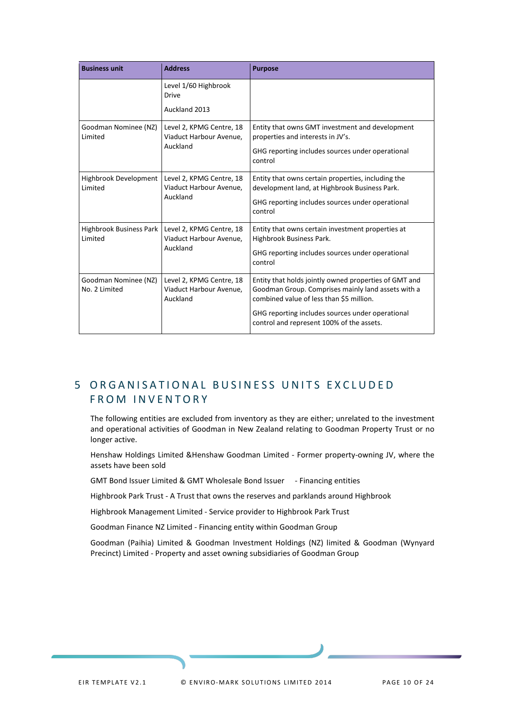| <b>Business unit</b>                  | <b>Address</b>                                                  | <b>Purpose</b>                                                                                                                                                                                                                                           |
|---------------------------------------|-----------------------------------------------------------------|----------------------------------------------------------------------------------------------------------------------------------------------------------------------------------------------------------------------------------------------------------|
|                                       | Level 1/60 Highbrook<br><b>Drive</b>                            |                                                                                                                                                                                                                                                          |
|                                       | Auckland 2013                                                   |                                                                                                                                                                                                                                                          |
| Goodman Nominee (NZ)<br>Limited       | Level 2, KPMG Centre, 18<br>Viaduct Harbour Avenue,<br>Auckland | Entity that owns GMT investment and development<br>properties and interests in JV's.<br>GHG reporting includes sources under operational<br>control                                                                                                      |
| Highbrook Development<br>Limited      | Level 2, KPMG Centre, 18<br>Viaduct Harbour Avenue,<br>Auckland | Entity that owns certain properties, including the<br>development land, at Highbrook Business Park.<br>GHG reporting includes sources under operational<br>control                                                                                       |
| Highbrook Business Park<br>Limited    | Level 2, KPMG Centre, 18<br>Viaduct Harbour Avenue,<br>Auckland | Entity that owns certain investment properties at<br>Highbrook Business Park.<br>GHG reporting includes sources under operational<br>control                                                                                                             |
| Goodman Nominee (NZ)<br>No. 2 Limited | Level 2, KPMG Centre, 18<br>Viaduct Harbour Avenue,<br>Auckland | Entity that holds jointly owned properties of GMT and<br>Goodman Group. Comprises mainly land assets with a<br>combined value of less than \$5 million.<br>GHG reporting includes sources under operational<br>control and represent 100% of the assets. |

## <span id="page-9-0"></span>5 ORGANISATIONAL BUSINESS UNITS EXCLUDED FROM INVENTORY

The following entities are excluded from inventory as they are either; unrelated to the investment and operational activities of Goodman in New Zealand relating to Goodman Property Trust or no longer active.

Henshaw Holdings Limited &Henshaw Goodman Limited - Former property-owning JV, where the assets have been sold

GMT Bond Issuer Limited & GMT Wholesale Bond Issuer - Financing entities

Highbrook Park Trust - A Trust that owns the reserves and parklands around Highbrook

Highbrook Management Limited - Service provider to Highbrook Park Trust

Goodman Finance NZ Limited - Financing entity within Goodman Group

Goodman (Paihia) Limited & Goodman Investment Holdings (NZ) limited & Goodman (Wynyard Precinct) Limited - Property and asset owning subsidiaries of Goodman Group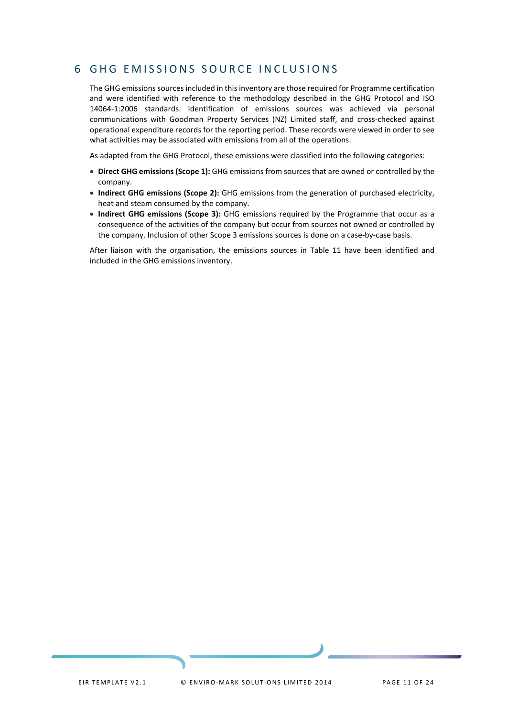## <span id="page-10-0"></span>6 GHG EMISSIONS SOURCE INCLUSIONS

The GHG emissions sources included in this inventory are those required for Programme certification and were identified with reference to the methodology described in the GHG Protocol and ISO 14064-1:2006 standards. Identification of emissions sources was achieved via personal communications with Goodman Property Services (NZ) Limited staff, and cross-checked against operational expenditure records for the reporting period. These records were viewed in order to see what activities may be associated with emissions from all of the operations.

As adapted from the GHG Protocol, these emissions were classified into the following categories:

- **Direct GHG emissions (Scope 1):** GHG emissions from sources that are owned or controlled by the company.
- **Indirect GHG emissions (Scope 2):** GHG emissions from the generation of purchased electricity, heat and steam consumed by the company.
- **Indirect GHG emissions (Scope 3):** GHG emissions required by the Programme that occur as a consequence of the activities of the company but occur from sources not owned or controlled by the company. Inclusion of other Scope 3 emissions sources is done on a case-by-case basis.

After liaison with the organisation, the emissions sources in Table 11 have been identified and included in the GHG emissions inventory.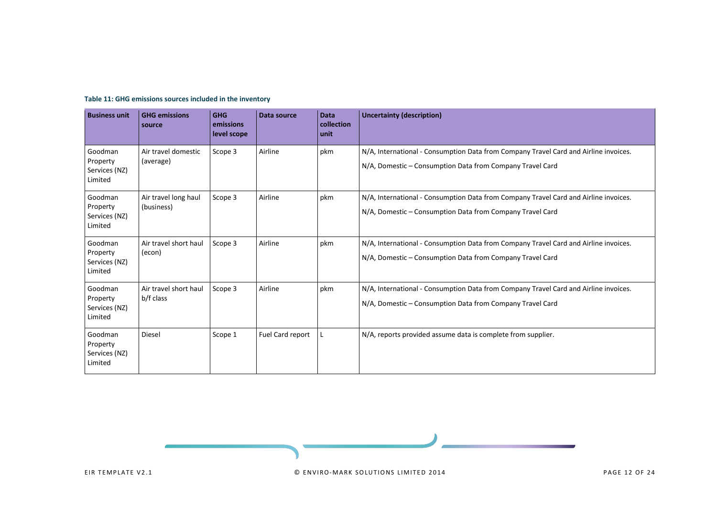<span id="page-11-0"></span>

| <b>Business unit</b>                            | <b>GHG emissions</b><br>source     | <b>GHG</b><br>emissions<br>level scope | Data source      | <b>Data</b><br>collection<br>unit | <b>Uncertainty (description)</b>                                                                                                                  |
|-------------------------------------------------|------------------------------------|----------------------------------------|------------------|-----------------------------------|---------------------------------------------------------------------------------------------------------------------------------------------------|
| Goodman<br>Property<br>Services (NZ)<br>Limited | Air travel domestic<br>(average)   | Scope 3                                | Airline          | pkm                               | N/A, International - Consumption Data from Company Travel Card and Airline invoices.<br>N/A, Domestic - Consumption Data from Company Travel Card |
| Goodman<br>Property<br>Services (NZ)<br>Limited | Air travel long haul<br>(business) | Scope 3                                | Airline          | pkm                               | N/A, International - Consumption Data from Company Travel Card and Airline invoices.<br>N/A, Domestic - Consumption Data from Company Travel Card |
| Goodman<br>Property<br>Services (NZ)<br>Limited | Air travel short haul<br>(econ)    | Scope 3                                | Airline          | pkm                               | N/A, International - Consumption Data from Company Travel Card and Airline invoices.<br>N/A, Domestic – Consumption Data from Company Travel Card |
| Goodman<br>Property<br>Services (NZ)<br>Limited | Air travel short haul<br>b/f class | Scope 3                                | Airline          | pkm                               | N/A, International - Consumption Data from Company Travel Card and Airline invoices.<br>N/A, Domestic – Consumption Data from Company Travel Card |
| Goodman<br>Property<br>Services (NZ)<br>Limited | Diesel                             | Scope 1                                | Fuel Card report | L                                 | N/A, reports provided assume data is complete from supplier.                                                                                      |

#### **Table 11: GHG emissions sources included in the inventory**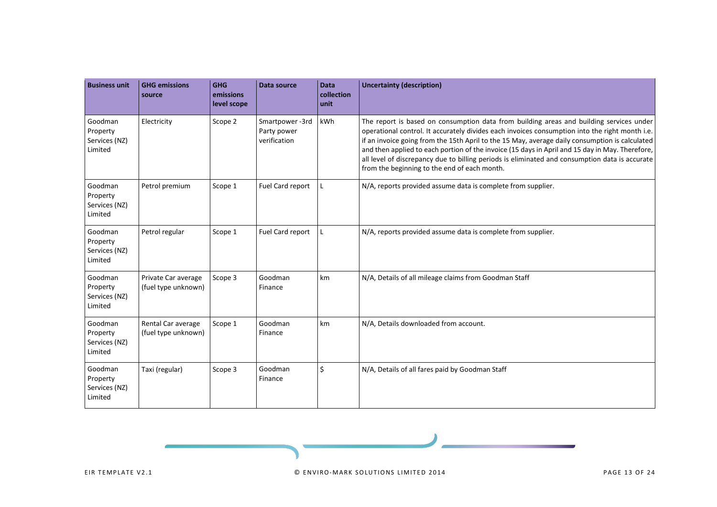| <b>Business unit</b>                            | <b>GHG emissions</b><br>source             | <b>GHG</b><br>emissions<br>level scope | <b>Data source</b>                            | <b>Data</b><br>collection<br>unit | <b>Uncertainty (description)</b>                                                                                                                                                                                                                                                                                                                                                                                                                                                                                                                 |
|-------------------------------------------------|--------------------------------------------|----------------------------------------|-----------------------------------------------|-----------------------------------|--------------------------------------------------------------------------------------------------------------------------------------------------------------------------------------------------------------------------------------------------------------------------------------------------------------------------------------------------------------------------------------------------------------------------------------------------------------------------------------------------------------------------------------------------|
| Goodman<br>Property<br>Services (NZ)<br>Limited | Electricity                                | Scope 2                                | Smartpower-3rd<br>Party power<br>verification | kWh                               | The report is based on consumption data from building areas and building services under<br>operational control. It accurately divides each invoices consumption into the right month i.e.<br>if an invoice going from the 15th April to the 15 May, average daily consumption is calculated<br>and then applied to each portion of the invoice (15 days in April and 15 day in May. Therefore,<br>all level of discrepancy due to billing periods is eliminated and consumption data is accurate<br>from the beginning to the end of each month. |
| Goodman<br>Property<br>Services (NZ)<br>Limited | Petrol premium                             | Scope 1                                | Fuel Card report                              | L                                 | N/A, reports provided assume data is complete from supplier.                                                                                                                                                                                                                                                                                                                                                                                                                                                                                     |
| Goodman<br>Property<br>Services (NZ)<br>Limited | Petrol regular                             | Scope 1                                | Fuel Card report                              | L                                 | N/A, reports provided assume data is complete from supplier.                                                                                                                                                                                                                                                                                                                                                                                                                                                                                     |
| Goodman<br>Property<br>Services (NZ)<br>Limited | Private Car average<br>(fuel type unknown) | Scope 3                                | Goodman<br>Finance                            | km                                | N/A, Details of all mileage claims from Goodman Staff                                                                                                                                                                                                                                                                                                                                                                                                                                                                                            |
| Goodman<br>Property<br>Services (NZ)<br>Limited | Rental Car average<br>(fuel type unknown)  | Scope 1                                | Goodman<br>Finance                            | km                                | N/A, Details downloaded from account.                                                                                                                                                                                                                                                                                                                                                                                                                                                                                                            |
| Goodman<br>Property<br>Services (NZ)<br>Limited | Taxi (regular)                             | Scope 3                                | Goodman<br>Finance                            | \$                                | N/A, Details of all fares paid by Goodman Staff                                                                                                                                                                                                                                                                                                                                                                                                                                                                                                  |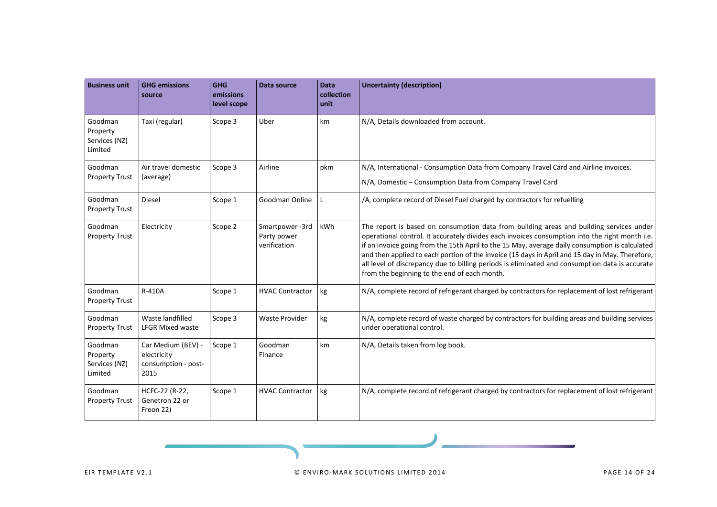| <b>Business unit</b>                            | <b>GHG emissions</b><br>source                                   | <b>GHG</b><br>emissions<br>level scope | Data source                                   | <b>Data</b><br>collection<br>unit | <b>Uncertainty (description)</b>                                                                                                                                                                                                                                                                                                                                                                                                                                                                                                                 |
|-------------------------------------------------|------------------------------------------------------------------|----------------------------------------|-----------------------------------------------|-----------------------------------|--------------------------------------------------------------------------------------------------------------------------------------------------------------------------------------------------------------------------------------------------------------------------------------------------------------------------------------------------------------------------------------------------------------------------------------------------------------------------------------------------------------------------------------------------|
| Goodman<br>Property<br>Services (NZ)<br>Limited | Taxi (regular)                                                   | Scope 3                                | Uber                                          | km                                | N/A, Details downloaded from account.                                                                                                                                                                                                                                                                                                                                                                                                                                                                                                            |
| Goodman<br><b>Property Trust</b>                | Air travel domestic<br>(average)                                 | Scope 3                                | Airline                                       | pkm                               | N/A, International - Consumption Data from Company Travel Card and Airline invoices.<br>N/A, Domestic - Consumption Data from Company Travel Card                                                                                                                                                                                                                                                                                                                                                                                                |
| Goodman<br><b>Property Trust</b>                | <b>Diesel</b>                                                    | Scope 1                                | Goodman Online                                | L                                 | /A, complete record of Diesel Fuel charged by contractors for refuelling                                                                                                                                                                                                                                                                                                                                                                                                                                                                         |
| Goodman<br><b>Property Trust</b>                | Electricity                                                      | Scope 2                                | Smartpower-3rd<br>Party power<br>verification | kWh                               | The report is based on consumption data from building areas and building services under<br>operational control. It accurately divides each invoices consumption into the right month i.e.<br>if an invoice going from the 15th April to the 15 May, average daily consumption is calculated<br>and then applied to each portion of the invoice (15 days in April and 15 day in May. Therefore,<br>all level of discrepancy due to billing periods is eliminated and consumption data is accurate<br>from the beginning to the end of each month. |
| Goodman<br><b>Property Trust</b>                | R-410A                                                           | Scope 1                                | <b>HVAC Contractor</b>                        | kg                                | N/A, complete record of refrigerant charged by contractors for replacement of lost refrigerant                                                                                                                                                                                                                                                                                                                                                                                                                                                   |
| Goodman<br><b>Property Trust</b>                | Waste landfilled<br><b>LFGR Mixed waste</b>                      | Scope 3                                | <b>Waste Provider</b>                         | kg                                | N/A, complete record of waste charged by contractors for building areas and building services<br>under operational control.                                                                                                                                                                                                                                                                                                                                                                                                                      |
| Goodman<br>Property<br>Services (NZ)<br>Limited | Car Medium (BEV) -<br>electricity<br>consumption - post-<br>2015 | Scope 1                                | Goodman<br>Finance                            | km                                | N/A, Details taken from log book.                                                                                                                                                                                                                                                                                                                                                                                                                                                                                                                |
| Goodman<br><b>Property Trust</b>                | HCFC-22 (R-22,<br>Genetron 22 or<br>Freon 22)                    | Scope 1                                | <b>HVAC Contractor</b>                        | kg                                | N/A, complete record of refrigerant charged by contractors for replacement of lost refrigerant                                                                                                                                                                                                                                                                                                                                                                                                                                                   |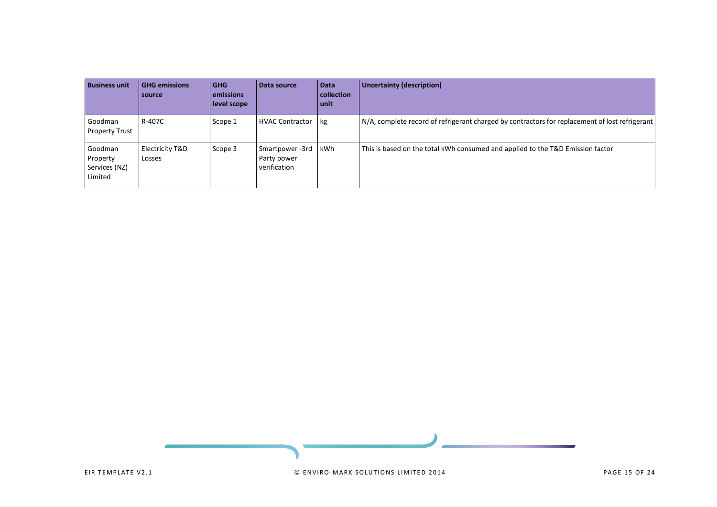| <b>Business unit</b>                            | <b>GHG emissions</b><br>source | l GHG<br>emissions<br>level scope | Data source                                   | <b>Data</b><br>collection<br>unit | <b>Uncertainty (description)</b>                                                               |
|-------------------------------------------------|--------------------------------|-----------------------------------|-----------------------------------------------|-----------------------------------|------------------------------------------------------------------------------------------------|
| Goodman<br><b>Property Trust</b>                | R-407C                         | Scope 1                           | <b>HVAC Contractor</b>                        | kg                                | N/A, complete record of refrigerant charged by contractors for replacement of lost refrigerant |
| Goodman<br>Property<br>Services (NZ)<br>Limited | Electricity T&D<br>Losses      | Scope 3                           | Smartpower-3rd<br>Party power<br>verification | kWh                               | This is based on the total kWh consumed and applied to the T&D Emission factor                 |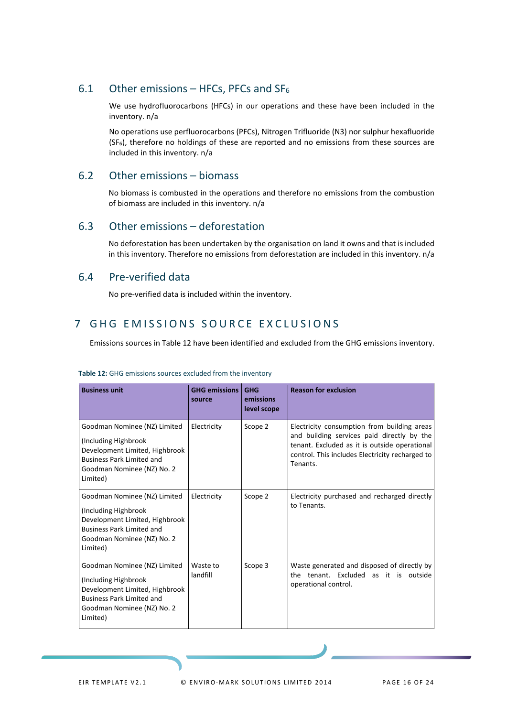## <span id="page-15-0"></span>6.1 Other emissions – HFCs, PFCs and  $SF<sub>6</sub>$

We use hydrofluorocarbons (HFCs) in our operations and these have been included in the inventory. n/a

No operations use perfluorocarbons (PFCs), Nitrogen Trifluoride (N3) nor sulphur hexafluoride  $(SF_6)$ , therefore no holdings of these are reported and no emissions from these sources are included in this inventory. n/a

## <span id="page-15-1"></span>6.2 Other emissions – biomass

No biomass is combusted in the operations and therefore no emissions from the combustion of biomass are included in this inventory. n/a

## <span id="page-15-2"></span>6.3 Other emissions – deforestation

No deforestation has been undertaken by the organisation on land it owns and that is included in this inventory. Therefore no emissions from deforestation are included in this inventory. n/a

## <span id="page-15-3"></span>6.4 Pre-verified data

No pre-verified data is included within the inventory.

## <span id="page-15-4"></span>7 GHG EMISSIONS SOURCE EXCLUSIONS

Emissions sources in Table 12 have been identified and excluded from the GHG emissions inventory.

| <b>Business unit</b>                                                                                                                                                  | <b>GHG emissions</b><br>source | <b>GHG</b><br>emissions<br>level scope | <b>Reason for exclusion</b>                                                                                                                                                                               |
|-----------------------------------------------------------------------------------------------------------------------------------------------------------------------|--------------------------------|----------------------------------------|-----------------------------------------------------------------------------------------------------------------------------------------------------------------------------------------------------------|
| Goodman Nominee (NZ) Limited<br>Including Highbrook)<br>Development Limited, Highbrook<br><b>Business Park Limited and</b><br>Goodman Nominee (NZ) No. 2<br>Limited)  | Electricity                    | Scope 2                                | Electricity consumption from building areas<br>and building services paid directly by the<br>tenant. Excluded as it is outside operational<br>control. This includes Electricity recharged to<br>Tenants. |
| Goodman Nominee (NZ) Limited<br>(Including Highbrook)<br>Development Limited, Highbrook<br><b>Business Park Limited and</b><br>Goodman Nominee (NZ) No. 2<br>Limited) | Electricity                    | Scope 2                                | Electricity purchased and recharged directly<br>to Tenants.                                                                                                                                               |
| Goodman Nominee (NZ) Limited<br>(Including Highbrook)<br>Development Limited, Highbrook<br><b>Business Park Limited and</b><br>Goodman Nominee (NZ) No. 2<br>Limited) | Waste to<br>landfill           | Scope 3                                | Waste generated and disposed of directly by<br>the tenant. Excluded as it is outside<br>operational control.                                                                                              |

#### <span id="page-15-5"></span>**Table 12:** GHG emissions sources excluded from the inventory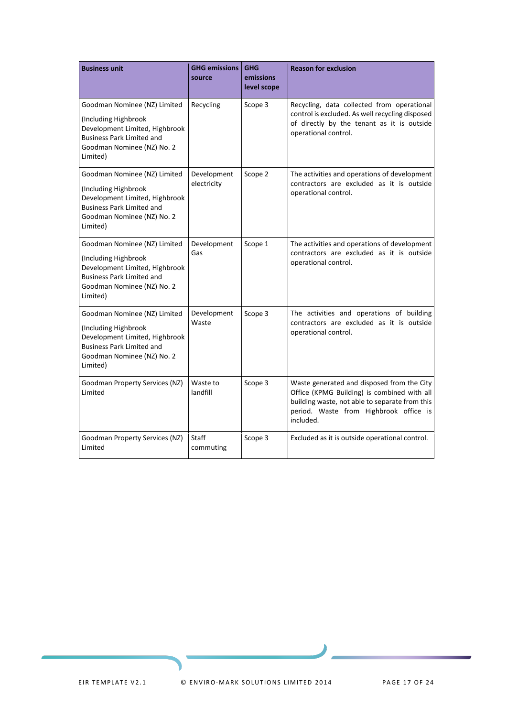| <b>Business unit</b>                                                                                                                                                 | <b>GHG emissions</b><br>source | <b>GHG</b><br>emissions<br>level scope | <b>Reason for exclusion</b>                                                                                                                                                                        |
|----------------------------------------------------------------------------------------------------------------------------------------------------------------------|--------------------------------|----------------------------------------|----------------------------------------------------------------------------------------------------------------------------------------------------------------------------------------------------|
| Goodman Nominee (NZ) Limited<br>(Including Highbrook<br>Development Limited, Highbrook                                                                               | Recycling                      | Scope 3                                | Recycling, data collected from operational<br>control is excluded. As well recycling disposed<br>of directly by the tenant as it is outside<br>operational control.                                |
| <b>Business Park Limited and</b><br>Goodman Nominee (NZ) No. 2<br>Limited)                                                                                           |                                |                                        |                                                                                                                                                                                                    |
| Goodman Nominee (NZ) Limited                                                                                                                                         | Development<br>electricity     | Scope 2                                | The activities and operations of development<br>contractors are excluded as it is outside                                                                                                          |
| (Including Highbrook<br>Development Limited, Highbrook<br><b>Business Park Limited and</b><br>Goodman Nominee (NZ) No. 2<br>Limited)                                 |                                |                                        | operational control.                                                                                                                                                                               |
| Goodman Nominee (NZ) Limited<br>(Including Highbrook<br>Development Limited, Highbrook<br><b>Business Park Limited and</b><br>Goodman Nominee (NZ) No. 2<br>Limited) | Development<br>Gas             | Scope 1                                | The activities and operations of development<br>contractors are excluded as it is outside<br>operational control.                                                                                  |
| Goodman Nominee (NZ) Limited<br>(Including Highbrook<br>Development Limited, Highbrook<br><b>Business Park Limited and</b><br>Goodman Nominee (NZ) No. 2<br>Limited) | Development<br>Waste           | Scope 3                                | The activities and operations of building<br>contractors are excluded as it is outside<br>operational control.                                                                                     |
| Goodman Property Services (NZ)<br>Limited                                                                                                                            | Waste to<br>landfill           | Scope 3                                | Waste generated and disposed from the City<br>Office (KPMG Building) is combined with all<br>building waste, not able to separate from this<br>period. Waste from Highbrook office is<br>included. |
| Goodman Property Services (NZ)<br>Limited                                                                                                                            | Staff<br>commuting             | Scope 3                                | Excluded as it is outside operational control.                                                                                                                                                     |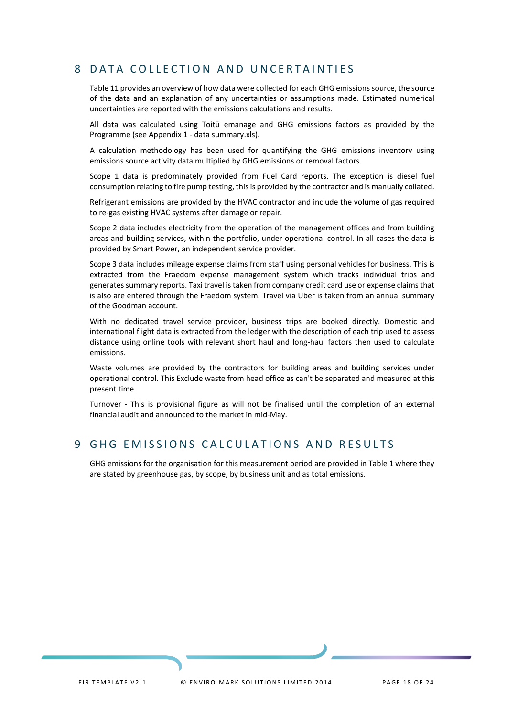## <span id="page-17-0"></span>8 DATA COLLECTION AND UNCERTAINTIES

Table 11 provides an overview of how data were collected for each GHG emissions source, the source of the data and an explanation of any uncertainties or assumptions made. Estimated numerical uncertainties are reported with the emissions calculations and results.

All data was calculated using Toitū emanage and GHG emissions factors as provided by the Programme (see Appendix 1 - data summary.xls).

A calculation methodology has been used for quantifying the GHG emissions inventory using emissions source activity data multiplied by GHG emissions or removal factors.

Scope 1 data is predominately provided from Fuel Card reports. The exception is diesel fuel consumption relating to fire pump testing, this is provided by the contractor and is manually collated.

Refrigerant emissions are provided by the HVAC contractor and include the volume of gas required to re-gas existing HVAC systems after damage or repair.

Scope 2 data includes electricity from the operation of the management offices and from building areas and building services, within the portfolio, under operational control. In all cases the data is provided by Smart Power, an independent service provider.

Scope 3 data includes mileage expense claims from staff using personal vehicles for business. This is extracted from the Fraedom expense management system which tracks individual trips and generates summary reports. Taxi travel is taken from company credit card use or expense claims that is also are entered through the Fraedom system. Travel via Uber is taken from an annual summary of the Goodman account.

With no dedicated travel service provider, business trips are booked directly. Domestic and international flight data is extracted from the ledger with the description of each trip used to assess distance using online tools with relevant short haul and long-haul factors then used to calculate emissions.

Waste volumes are provided by the contractors for building areas and building services under operational control. This Exclude waste from head office as can't be separated and measured at this present time.

Turnover - This is provisional figure as will not be finalised until the completion of an external financial audit and announced to the market in mid-May.

## <span id="page-17-1"></span>9 GHG EMISSIONS CALCULATIONS AND RESULTS

GHG emissions for the organisation for this measurement period are provided in Table 1 where they are stated by greenhouse gas, by scope, by business unit and as total emissions.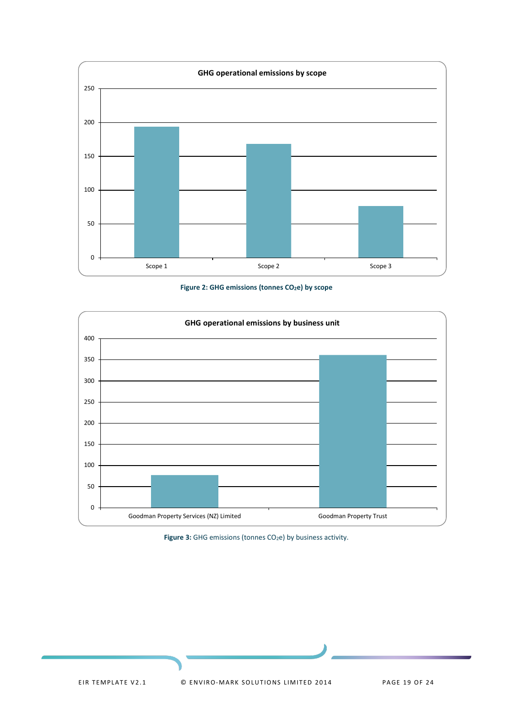

Figure 2: GHG emissions (tonnes CO<sub>2</sub>e) by scope

<span id="page-18-0"></span>

<span id="page-18-1"></span>Figure 3: GHG emissions (tonnes CO<sub>2</sub>e) by business activity.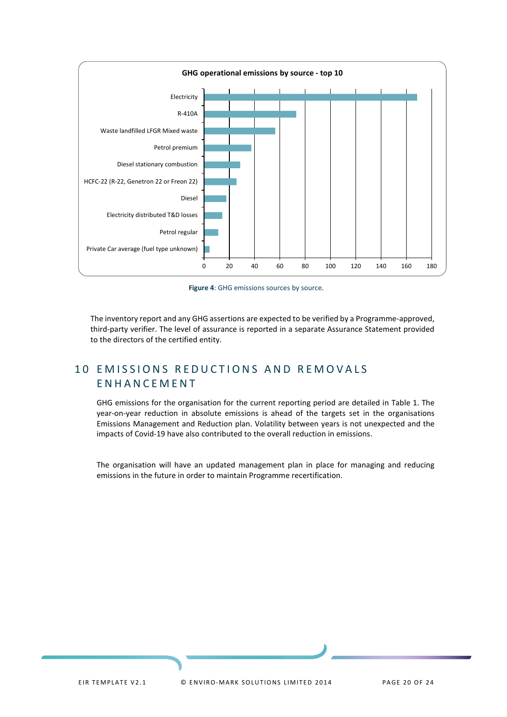

**Figure 4**: GHG emissions sources by source.

<span id="page-19-1"></span>The inventory report and any GHG assertions are expected to be verified by a Programme-approved, third-party verifier. The level of assurance is reported in a separate Assurance Statement provided to the directors of the certified entity.

## <span id="page-19-0"></span>10 EMISSIONS REDUCTIONS AND REMOVALS ENHANCEMENT

GHG emissions for the organisation for the current reporting period are detailed in Table 1. The year-on-year reduction in absolute emissions is ahead of the targets set in the organisations Emissions Management and Reduction plan. Volatility between years is not unexpected and the impacts of Covid-19 have also contributed to the overall reduction in emissions.

The organisation will have an updated management plan in place for managing and reducing emissions in the future in order to maintain Programme recertification.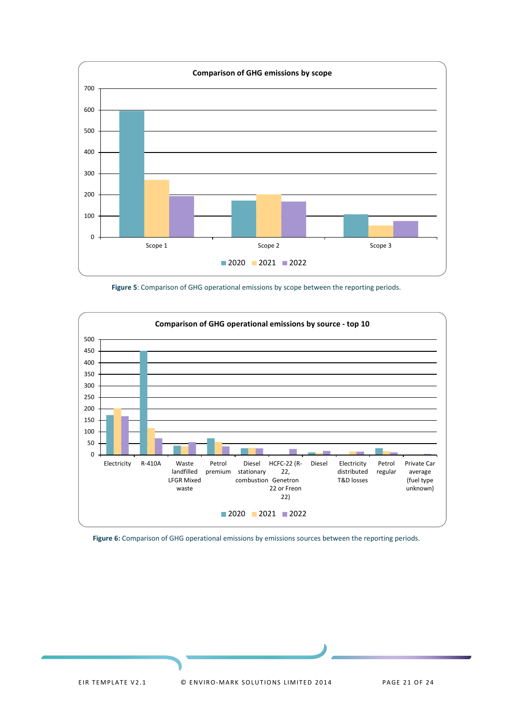

**Figure 5**: Comparison of GHG operational emissions by scope between the reporting periods.

<span id="page-20-0"></span>

<span id="page-20-1"></span>**Figure 6:** Comparison of GHG operational emissions by emissions sources between the reporting periods.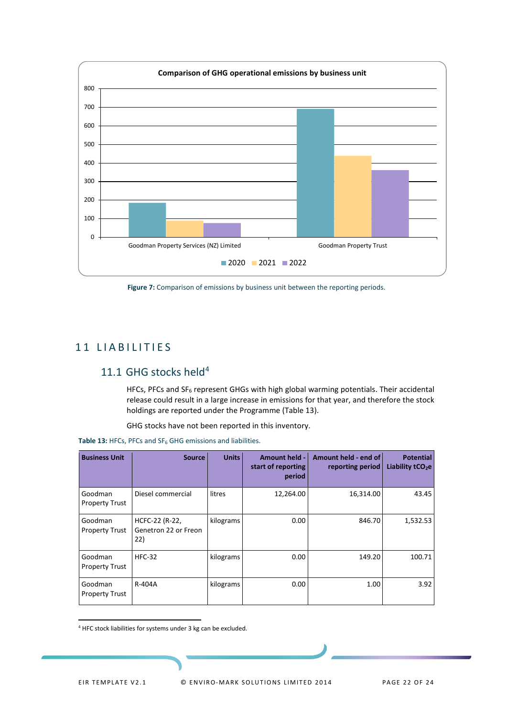

<span id="page-21-3"></span>Figure 7: Comparison of emissions by business unit between the reporting periods.

## <span id="page-21-0"></span>11 LIABILITIES

## <span id="page-21-1"></span>11.1 GHG stocks held<sup>[4](#page-21-4)</sup>

HFCs, PFCs and SF6 represent GHGs with high global warming potentials. Their accidental release could result in a large increase in emissions for that year, and therefore the stock holdings are reported under the Programme (Table 13).

GHG stocks have not been reported in this inventory.

| <b>Business Unit</b>             | <b>Source</b>                                 | <b>Units</b> | <b>Amount held -</b><br>start of reporting<br>period | Amount held - end of<br>reporting period | <b>Potential</b><br>Liability tCO <sub>2</sub> e |
|----------------------------------|-----------------------------------------------|--------------|------------------------------------------------------|------------------------------------------|--------------------------------------------------|
| Goodman<br><b>Property Trust</b> | Diesel commercial                             | litres       | 12,264.00                                            | 16,314.00                                | 43.45                                            |
| Goodman<br><b>Property Trust</b> | HCFC-22 (R-22,<br>Genetron 22 or Freon<br>22) | kilograms    | 0.00                                                 | 846.70                                   | 1,532.53                                         |
| Goodman<br><b>Property Trust</b> | <b>HFC-32</b>                                 | kilograms    | 0.00                                                 | 149.20                                   | 100.71                                           |
| Goodman<br><b>Property Trust</b> | R-404A                                        | kilograms    | 0.00                                                 | 1.00                                     | 3.92                                             |

<span id="page-21-2"></span>**Table 13:** HFCs, PFCs and SF6 GHG emissions and liabilities.

<span id="page-21-4"></span><sup>4</sup> HFC stock liabilities for systems under 3 kg can be excluded.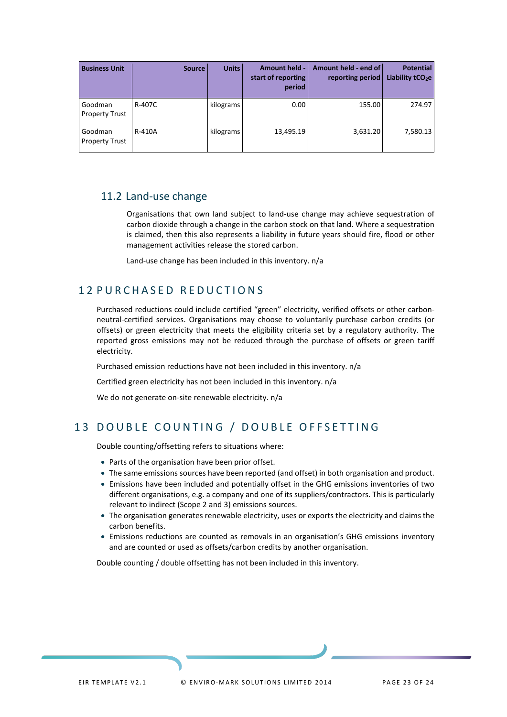| <b>Business Unit</b>             | <b>Source</b> | <b>Units</b> | <b>Amount held -</b><br>start of reporting<br>period | Amount held - end of<br>reporting period | <b>Potential</b><br>Liability $tCO2e$ |
|----------------------------------|---------------|--------------|------------------------------------------------------|------------------------------------------|---------------------------------------|
| Goodman<br><b>Property Trust</b> | R-407C        | kilograms    | 0.00                                                 | 155.00                                   | 274.97                                |
| Goodman<br><b>Property Trust</b> | R-410A        | kilograms    | 13,495.19                                            | 3,631.20                                 | 7,580.13                              |

## <span id="page-22-0"></span>11.2 Land-use change

Organisations that own land subject to land-use change may achieve sequestration of carbon dioxide through a change in the carbon stock on that land. Where a sequestration is claimed, then this also represents a liability in future years should fire, flood or other management activities release the stored carbon.

Land-use change has been included in this inventory. n/a

## <span id="page-22-1"></span>1 2 PURCHASED REDUCTIONS

Purchased reductions could include certified "green" electricity, verified offsets or other carbonneutral-certified services. Organisations may choose to voluntarily purchase carbon credits (or offsets) or green electricity that meets the eligibility criteria set by a regulatory authority. The reported gross emissions may not be reduced through the purchase of offsets or green tariff electricity.

Purchased emission reductions have not been included in this inventory. n/a

Certified green electricity has not been included in this inventory. n/a

We do not generate on-site renewable electricity. n/a

## <span id="page-22-2"></span>13 DOUBLE COUNTING / DOUBLE OFFSETTING

Double counting/offsetting refers to situations where:

- Parts of the organisation have been prior offset.
- The same emissions sources have been reported (and offset) in both organisation and product.
- Emissions have been included and potentially offset in the GHG emissions inventories of two different organisations, e.g. a company and one of its suppliers/contractors. This is particularly relevant to indirect (Scope 2 and 3) emissions sources.
- The organisation generates renewable electricity, uses or exports the electricity and claims the carbon benefits.
- Emissions reductions are counted as removals in an organisation's GHG emissions inventory and are counted or used as offsets/carbon credits by another organisation.

Double counting / double offsetting has not been included in this inventory.